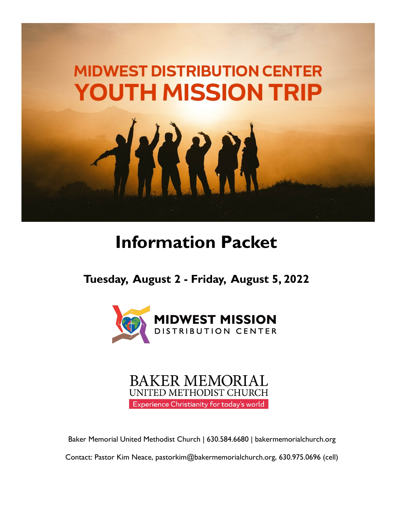

## **Information Packet**

**Tuesday, August 2 - Friday, August 5, 2022**





Baker Memorial United Methodist Church | 630.584.6680 | bakermemorialchurch.org

Contact: Pastor Kim Neace, pastorkim@bakermemorialchurch.org, 630.975.0696 (cell)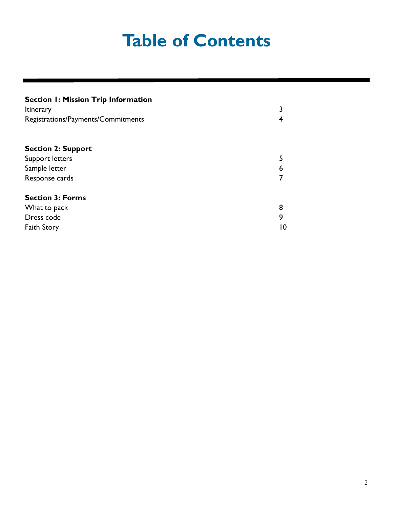## **Table of Contents**

| <b>Section 1: Mission Trip Information</b><br><b>Itinerary</b><br>Registrations/Payments/Commitments | 3<br>4 |
|------------------------------------------------------------------------------------------------------|--------|
| <b>Section 2: Support</b>                                                                            |        |
| Support letters                                                                                      | 5      |
| Sample letter                                                                                        | 6      |
| Response cards                                                                                       | 7      |
| <b>Section 3: Forms</b>                                                                              |        |
| What to pack                                                                                         | 8      |
| Dress code                                                                                           | 9      |
| <b>Faith Story</b>                                                                                   | 10     |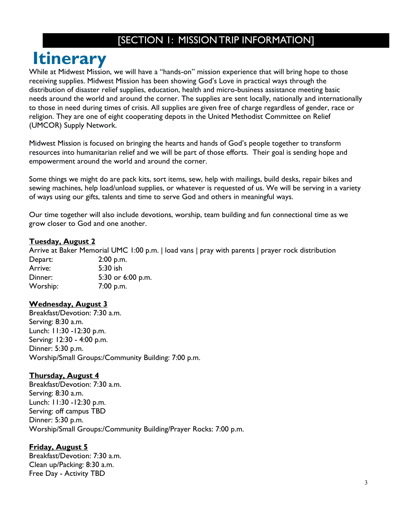### [SECTION 1: MISSION TRIP INFORMATION]

## **Itinerary**

While at Midwest Mission, we will have a "hands-on" mission experience that will bring hope to those receiving supplies. Midwest Mission has been showing God's Love in practical ways through the distribution of disaster relief supplies, education, health and micro-business assistance meeting basic needs around the world and around the corner. The supplies are sent locally, nationally and internationally to those in need during times of crisis. All supplies are given free of charge regardless of gender, race or religion. They are one of eight cooperating depots in the United Methodist Committee on Relief (UMCOR) Supply Network.

Midwest Mission is focused on bringing the hearts and hands of God's people together to transform resources into humanitarian relief and we will be part of those efforts. Their goal is sending hope and empowerment around the world and around the corner.

Some things we might do are pack kits, sort items, sew, help with mailings, build desks, repair bikes and sewing machines, help load/unload supplies, or whatever is requested of us. We will be serving in a variety of ways using our gifts, talents and time to serve God and others in meaningful ways.

Our time together will also include devotions, worship, team building and fun connectional time as we grow closer to God and one another.

#### **Tuesday, August 2**

Arrive at Baker Memorial UMC 1:00 p.m. | load vans | pray with parents | prayer rock distribution

Depart: 2:00 p.m. Arrive: 5:30 ish Dinner: 5:30 or 6:00 p.m. Worship: 7:00 p.m.

### **Wednesday, August 3**

Breakfast/Devotion: 7:30 a.m. Serving: 8:30 a.m. Lunch: 11:30 -12:30 p.m. Serving: 12:30 - 4:00 p.m. Dinner: 5:30 p.m. Worship/Small Groups:/Community Building: 7:00 p.m.

### **Thursday, August 4**

Breakfast/Devotion: 7:30 a.m. Serving: 8:30 a.m. Lunch: 11:30 -12:30 p.m. Serving: off campus TBD Dinner: 5:30 p.m. Worship/Small Groups:/Community Building/Prayer Rocks: 7:00 p.m.

### **Friday, August 5**

Breakfast/Devotion: 7:30 a.m. Clean up/Packing: 8:30 a.m. Free Day - Activity TBD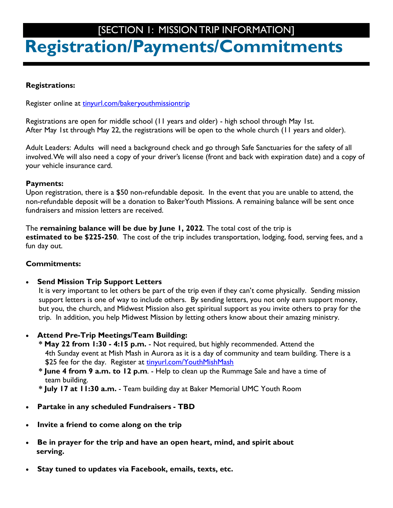### <span id="page-3-0"></span>**Registration/Payments/Commitments** [SECTION 1: MISSION TRIP INFORMATION]

### **Registrations:**

Register online at [tinyurl.com/bakeryouthmissiontrip](#page-3-0)

Registrations are open for middle school (11 years and older) - high school through May 1st. After May 1st through May 22, the registrations will be open to the whole church (11 years and older).

Adult Leaders: Adults will need a background check and go through Safe Sanctuaries for the safety of all involved. We will also need a copy of your driver's license (front and back with expiration date) and a copy of your vehicle insurance card.

### **Payments:**

Upon registration, there is a \$50 non-refundable deposit. In the event that you are unable to attend, the non-refundable deposit will be a donation to BakerYouth Missions. A remaining balance will be sent once fundraisers and mission letters are received.

The **remaining balance will be due by June 1, 2022**. The total cost of the trip is **estimated to be \$225-250**. The cost of the trip includes transportation, lodging, food, serving fees, and a fun day out.

### **Commitments:**

**Send Mission Trip Support Letters**

It is very important to let others be part of the trip even if they can't come physically. Sending mission support letters is one of way to include others. By sending letters, you not only earn support money, but you, the church, and Midwest Mission also get spiritual support as you invite others to pray for the trip. In addition, you help Midwest Mission by letting others know about their amazing ministry.

- **Attend Pre-Trip Meetings/Team Building:**
	- **\* May 22 from 1:30 - 4:15 p.m.** Not required, but highly recommended. Attend the 4th Sunday event at Mish Mash in Aurora as it is a day of community and team building. There is a \$25 fee for the day. Register at [tinyurl.com/YouthMishMash](#page-3-0)
	- **\* June 4 from 9 a.m. to 12 p.m**. Help to clean up the Rummage Sale and have a time of team building.
	- **\* July 17 at 11:30 a.m.** Team building day at Baker Memorial UMC Youth Room
- **Partake in any scheduled Fundraisers - TBD**
- **Invite a friend to come along on the trip**
- **Be in prayer for the trip and have an open heart, mind, and spirit about serving.**
- **Stay tuned to updates via Facebook, emails, texts, etc.**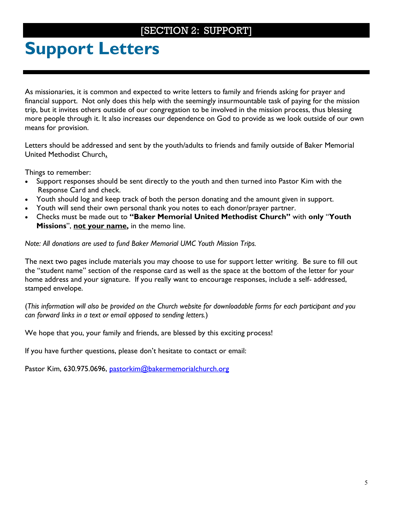### [SECTION 2: SUPPORT]

## <span id="page-4-0"></span>**Support Letters**

As missionaries, it is common and expected to write letters to family and friends asking for prayer and financial support. Not only does this help with the seemingly insurmountable task of paying for the mission trip, but it invites others outside of our congregation to be involved in the mission process, thus blessing more people through it. It also increases our dependence on God to provide as we look outside of our own means for provision.

Letters should be addressed and sent by the youth/adults to friends and family outside of Baker Memorial United Methodist Church**.** 

Things to remember:

- Support responses should be sent directly to the youth and then turned into Pastor Kim with the Response Card and check.
- Youth should log and keep track of both the person donating and the amount given in support.
- Youth will send their own personal thank you notes to each donor/prayer partner.
- Checks must be made out to **"Baker Memorial United Methodist Church"** with **only** "**Youth Missions**", **not your name,** in the memo line.

*Note: All donations are used to fund Baker Memorial UMC Youth Mission Trips.*

The next two pages include materials you may choose to use for support letter writing. Be sure to fill out the "student name" section of the response card as well as the space at the bottom of the letter for your home address and your signature. If you really want to encourage responses, include a self- addressed, stamped envelope.

(*This information will also be provided on the Church website for downloadable forms for each participant and you can forward links in a text or email opposed to sending letters.*)

We hope that you, your family and friends, are blessed by this exciting process!

If you have further questions, please don't hesitate to contact or email:

Pastor Kim, 630.975.0696, <u>pastorkim@bakermemorialchurch.or</u>g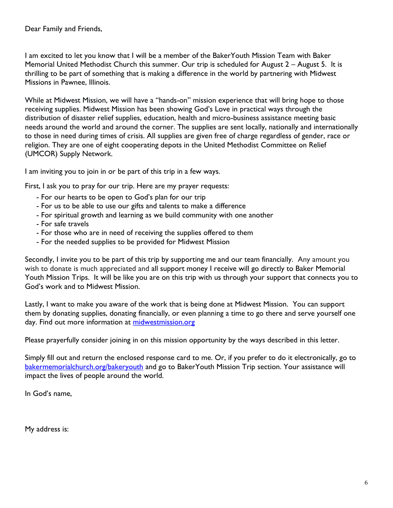Dear Family and Friends,

I am excited to let you know that I will be a member of the BakerYouth Mission Team with Baker Memorial United Methodist Church this summer. Our trip is scheduled for August 2 – August 5. It is thrilling to be part of something that is making a difference in the world by partnering with Midwest Missions in Pawnee, Illinois.

While at Midwest Mission, we will have a "hands-on" mission experience that will bring hope to those receiving supplies. Midwest Mission has been showing God's Love in practical ways through the distribution of disaster relief supplies, education, health and micro-business assistance meeting basic needs around the world and around the corner. The supplies are sent locally, nationally and internationally to those in need during times of crisis. All supplies are given free of charge regardless of gender, race or religion. They are one of eight cooperating depots in the United Methodist Committee on Relief (UMCOR) Supply Network.

I am inviting you to join in or be part of this trip in a few ways.

First, I ask you to pray for our trip. Here are my prayer requests:

- For our hearts to be open to God's plan for our trip
- For us to be able to use our gifts and talents to make a difference
- For spiritual growth and learning as we build community with one another
- For safe travels
- For those who are in need of receiving the supplies offered to them
- For the needed supplies to be provided for Midwest Mission

Secondly, I invite you to be part of this trip by supporting me and our team financially. Any amount you wish to donate is much appreciated and all support money I receive will go directly to Baker Memorial Youth Mission Trips. It will be like you are on this trip with us through your support that connects you to God's work and to Midwest Mission.

Lastly, I want to make you aware of the work that is being done at Midwest Mission. You can support them by donating supplies, donating financially, or even planning a time to go there and serve yourself one day. Find out more information at [midwestmission.org](http://midwestmission.org/)

Please prayerfully consider joining in on this mission opportunity by the ways described in this letter.

Simply fill out and return the enclosed response card to me. Or, if you prefer to do it electronically, go to [bakermemorialchurch.org/bakeryouth](http://bakermemorialchurch.org/bakeryouth) and go to BakerYouth Mission Trip section. Your assistance will impact the lives of people around the world.

In God's name,

My address is: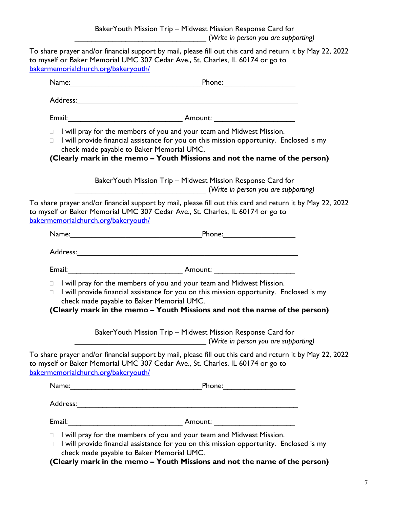<span id="page-6-0"></span>To share prayer and/or financial support by mail, please fill out this card and return it by May 22, 2022 to myself or Baker Memorial UMC 307 Cedar Ave., St. Charles, IL 60174 or go to [bakermemorialchurch.org/bakeryouth/](#page-6-0)

| $\Box$<br>П.                        | I will pray for the members of you and your team and Midwest Mission.<br>I will provide financial assistance for you on this mission opportunity. Enclosed is my<br>check made payable to Baker Memorial UMC.<br>(Clearly mark in the memo - Youth Missions and not the name of the person) |
|-------------------------------------|---------------------------------------------------------------------------------------------------------------------------------------------------------------------------------------------------------------------------------------------------------------------------------------------|
|                                     | Baker Youth Mission Trip – Midwest Mission Response Card for<br>(Write in person you are supporting)                                                                                                                                                                                        |
| bakermemorialchurch.org/bakeryouth/ | To share prayer and/or financial support by mail, please fill out this card and return it by May 22, 2022<br>to myself or Baker Memorial UMC 307 Cedar Ave., St. Charles, IL 60174 or go to                                                                                                 |
|                                     |                                                                                                                                                                                                                                                                                             |
|                                     |                                                                                                                                                                                                                                                                                             |
|                                     |                                                                                                                                                                                                                                                                                             |
| $\Box$<br>П.                        | I will pray for the members of you and your team and Midwest Mission.<br>I will provide financial assistance for you on this mission opportunity. Enclosed is my<br>check made payable to Baker Memorial UMC.<br>(Clearly mark in the memo - Youth Missions and not the name of the person) |
|                                     | Baker Youth Mission Trip - Midwest Mission Response Card for<br>(Write in person you are supporting)                                                                                                                                                                                        |
| bakermemorialchurch.org/bakeryouth/ | To share prayer and/or financial support by mail, please fill out this card and return it by May 22, 2022<br>to myself or Baker Memorial UMC 307 Cedar Ave., St. Charles, IL 60174 or go to                                                                                                 |
|                                     | Phone:________________________                                                                                                                                                                                                                                                              |
|                                     |                                                                                                                                                                                                                                                                                             |
|                                     |                                                                                                                                                                                                                                                                                             |
| П<br>$\Box$                         | I will pray for the members of you and your team and Midwest Mission.<br>I will provide financial assistance for you on this mission opportunity. Enclosed is my<br>check made payable to Baker Memorial UMC.                                                                               |

**(Clearly mark in the memo – Youth Missions and not the name of the person)**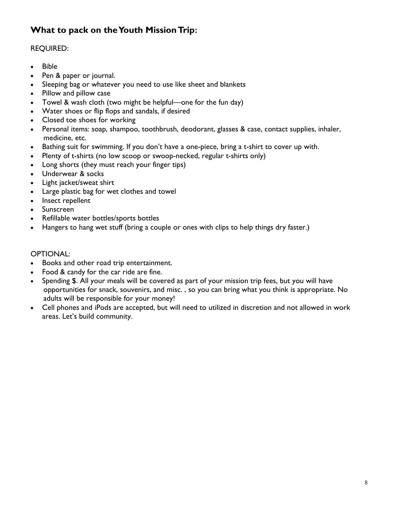### **What to pack on the Youth Mission Trip:**

### REQUIRED:

- Bible
- Pen & paper or journal.
- Sleeping bag or whatever you need to use like sheet and blankets
- Pillow and pillow case
- Towel & wash cloth (two might be helpful—one for the fun day)
- Water shoes or flip flops and sandals, if desired
- Closed toe shoes for working
- Personal items: soap, shampoo, toothbrush, deodorant, glasses & case, contact supplies, inhaler, medicine, etc.
- Bathing suit for swimming. If you don't have a one-piece, bring a t-shirt to cover up with.
- Plenty of t-shirts (no low scoop or swoop-necked, regular t-shirts only)
- Long shorts (they must reach your finger tips)
- Underwear & socks
- Light jacket/sweat shirt
- Large plastic bag for wet clothes and towel
- Insect repellent
- Sunscreen
- Refillable water bottles/sports bottles
- Hangers to hang wet stuff (bring a couple or ones with clips to help things dry faster.)

#### OPTIONAL:

- Books and other road trip entertainment.
- Food & candy for the car ride are fine.
- Spending \$. All your meals will be covered as part of your mission trip fees, but you will have opportunities for snack, souvenirs, and misc. , so you can bring what you think is appropriate. No adults will be responsible for your money!
- Cell phones and iPods are accepted, but will need to utilized in discretion and not allowed in work areas. Let's build community.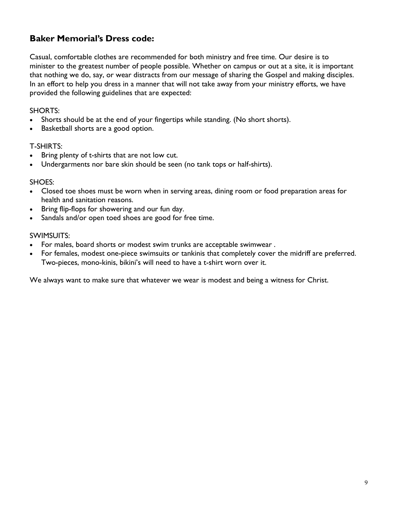### **Baker Memorial's Dress code:**

Casual, comfortable clothes are recommended for both ministry and free time. Our desire is to minister to the greatest number of people possible. Whether on campus or out at a site, it is important that nothing we do, say, or wear distracts from our message of sharing the Gospel and making disciples. In an effort to help you dress in a manner that will not take away from your ministry efforts, we have provided the following guidelines that are expected:

#### SHORTS:

- Shorts should be at the end of your fingertips while standing. (No short shorts).
- Basketball shorts are a good option.

#### T-SHIRTS:

- Bring plenty of t-shirts that are not low cut.
- Undergarments nor bare skin should be seen (no tank tops or half-shirts).

#### SHOES:

- Closed toe shoes must be worn when in serving areas, dining room or food preparation areas for health and sanitation reasons.
- Bring flip-flops for showering and our fun day.
- Sandals and/or open toed shoes are good for free time.

#### SWIMSUITS:

- For males, board shorts or modest swim trunks are acceptable swimwear .
- For females, modest one-piece swimsuits or tankinis that completely cover the midriff are preferred. Two-pieces, mono-kinis, bikini's will need to have a t-shirt worn over it.

We always want to make sure that whatever we wear is modest and being a witness for Christ.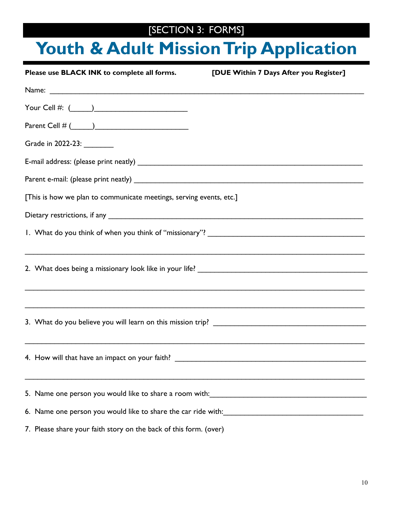### [SECTION 3: FORMS]

## **Youth & Adult Mission Trip Application**

| Please use BLACK INK to complete all forms.                                                                           | [DUE Within 7 Days After you Register] |
|-----------------------------------------------------------------------------------------------------------------------|----------------------------------------|
| Name: <u>Alexander and Communications and Communications and Communications and Communications and Communications</u> |                                        |
|                                                                                                                       |                                        |
|                                                                                                                       |                                        |
| Grade in 2022-23: ________                                                                                            |                                        |
|                                                                                                                       |                                        |
|                                                                                                                       |                                        |
| [This is how we plan to communicate meetings, serving events, etc.]                                                   |                                        |
|                                                                                                                       |                                        |
|                                                                                                                       |                                        |
|                                                                                                                       |                                        |
|                                                                                                                       |                                        |
|                                                                                                                       |                                        |
|                                                                                                                       |                                        |
|                                                                                                                       |                                        |
|                                                                                                                       |                                        |
|                                                                                                                       |                                        |
| ,我们也不能在这里的人,我们也不能在这里的人,我们也不能在这里的人,我们也不能在这里的人,我们也不能在这里的人,我们也不能在这里的人,我们也不能在这里的人,我们也                                     |                                        |
|                                                                                                                       |                                        |
|                                                                                                                       |                                        |
| 7. Please share your faith story on the back of this form. (over)                                                     |                                        |